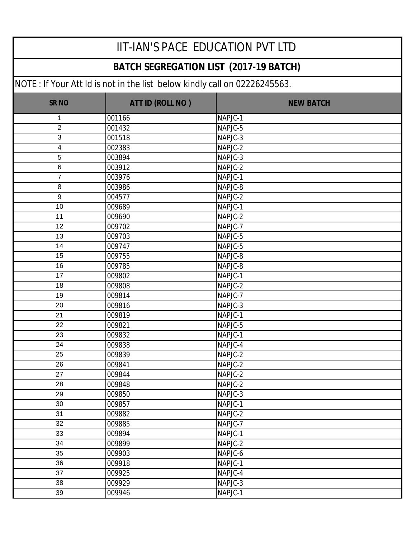#### **BATCH SEGREGATION LIST (2017-19 BATCH)**

| <b>SR NO</b>    | ATT ID (ROLL NO) | <b>NEW BATCH</b> |
|-----------------|------------------|------------------|
| 1               | 001166           | NAPJC-1          |
| $\overline{2}$  | 001432           | NAPJC-5          |
| 3               | 001518           | NAPJC-3          |
| 4               | 002383           | NAPJC-2          |
| $\overline{5}$  | 003894           | NAPJC-3          |
| $\,6\,$         | 003912           | NAPJC-2          |
| $\overline{7}$  | 003976           | NAPJC-1          |
| $\,8\,$         | 003986           | NAPJC-8          |
| $9\,$           | 004577           | NAPJC-2          |
| 10              | 009689           | NAPJC-1          |
| 11              | 009690           | NAPJC-2          |
| 12              | 009702           | NAPJC-7          |
| 13              | 009703           | NAPJC-5          |
| 14              | 009747           | NAPJC-5          |
| $\overline{15}$ | 009755           | NAPJC-8          |
| 16              | 009785           | NAPJC-8          |
| 17              | 009802           | NAPJC-1          |
| 18              | 009808           | NAPJC-2          |
| 19              | 009814           | NAPJC-7          |
| 20              | 009816           | NAPJC-3          |
| 21              | 009819           | NAPJC-1          |
| 22              | 009821           | NAPJC-5          |
| 23              | 009832           | NAPJC-1          |
| 24              | 009838           | NAPJC-4          |
| 25              | 009839           | NAPJC-2          |
| 26              | 009841           | NAPJC-2          |
| 27              | 009844           | NAPJC-2          |
| 28              | 009848           | NAPJC-2          |
| 29              | 009850           | NAPJC-3          |
| 30              | 009857           | NAPJC-1          |
| 31              | 009882           | NAPJC-2          |
| 32              | 009885           | NAPJC-7          |
| 33              | 009894           | NAPJC-1          |
| 34              | 009899           | NAPJC-2          |
| 35              | 009903           | NAPJC-6          |
| 36              | 009918           | NAPJC-1          |
| 37              | 009925           | NAPJC-4          |
| 38              | 009929           | NAPJC-3          |
| 39              | 009946           | NAPJC-1          |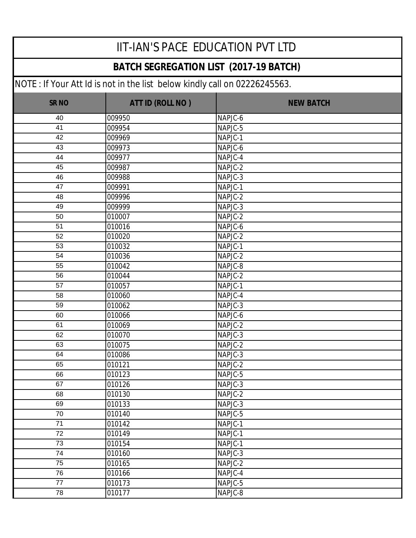#### **BATCH SEGREGATION LIST (2017-19 BATCH)**

| <b>SR NO</b> | ATT ID (ROLL NO) | <b>NEW BATCH</b> |
|--------------|------------------|------------------|
| 40           | 009950           | NAPJC-6          |
| 41           | 009954           | NAPJC-5          |
| 42           | 009969           | NAPJC-1          |
| 43           | 009973           | NAPJC-6          |
| 44           | 009977           | NAPJC-4          |
| 45           | 009987           | NAPJC-2          |
| 46           | 009988           | NAPJC-3          |
| 47           | 009991           | NAPJC-1          |
| 48           | 009996           | NAPJC-2          |
| 49           | 009999           | NAPJC-3          |
| 50           | 010007           | NAPJC-2          |
| 51           | 010016           | NAPJC-6          |
| 52           | 010020           | NAPJC-2          |
| 53           | 010032           | NAPJC-1          |
| 54           | 010036           | NAPJC-2          |
| 55           | 010042           | NAPJC-8          |
| 56           | 010044           | NAPJC-2          |
| 57           | 010057           | NAPJC-1          |
| 58           | 010060           | NAPJC-4          |
| 59           | 010062           | NAPJC-3          |
| 60           | 010066           | NAPJC-6          |
| 61           | 010069           | NAPJC-2          |
| 62           | 010070           | NAPJC-3          |
| 63           | 010075           | NAPJC-2          |
| 64           | 010086           | NAPJC-3          |
| 65           | 010121           | NAPJC-2          |
| 66           | 010123           | NAPJC-5          |
| 67           | 010126           | NAPJC-3          |
| 68           | 010130           | NAPJC-2          |
| 69           | 010133           | NAPJC-3          |
| 70           | 010140           | NAPJC-5          |
| 71           | 010142           | NAPJC-1          |
| 72           | 010149           | NAPJC-1          |
| 73           | 010154           | NAPJC-1          |
| 74           | 010160           | NAPJC-3          |
| 75           | 010165           | NAPJC-2          |
| 76           | 010166           | NAPJC-4          |
| 77           | 010173           | NAPJC-5          |
| 78           | 010177           | NAPJC-8          |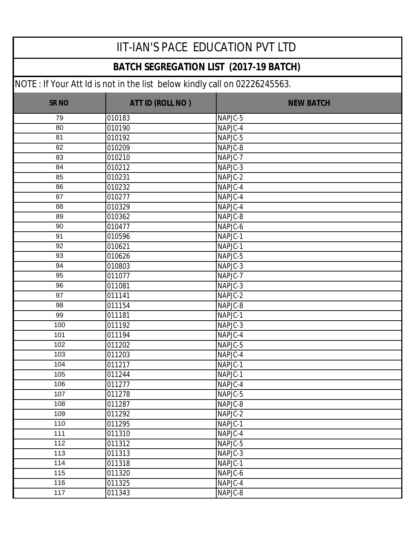#### **BATCH SEGREGATION LIST (2017-19 BATCH)**

| <b>SR NO</b> | ATT ID (ROLL NO) | <b>NEW BATCH</b> |
|--------------|------------------|------------------|
| 79           | 010183           | NAPJC-5          |
| 80           | 010190           | NAPJC-4          |
| 81           | 010192           | NAPJC-5          |
| 82           | 010209           | NAPJC-8          |
| 83           | 010210           | NAPJC-7          |
| 84           | 010212           | NAPJC-3          |
| 85           | 010231           | NAPJC-2          |
| 86           | 010232           | NAPJC-4          |
| 87           | 010277           | NAPJC-4          |
| 88           | 010329           | NAPJC-4          |
| 89           | 010362           | NAPJC-8          |
| 90           | 010477           | NAPJC-6          |
| 91           | 010596           | NAPJC-1          |
| 92           | 010621           | NAPJC-1          |
| 93           | 010626           | NAPJC-5          |
| 94           | 010803           | NAPJC-3          |
| 95           | 011077           | NAPJC-7          |
| 96           | 011081           | NAPJC-3          |
| 97           | 011141           | NAPJC-2          |
| 98           | 011154           | NAPJC-8          |
| 99           | 011181           | NAPJC-1          |
| 100          | 011192           | NAPJC-3          |
| 101          | 011194           | NAPJC-4          |
| 102          | 011202           | NAPJC-5          |
| 103          | 011203           | NAPJC-4          |
| 104          | 011217           | NAPJC-1          |
| 105          | 011244           | NAPJC-1          |
| 106          | 011277           | NAPJC-4          |
| 107          | 011278           | NAPJC-5          |
| 108          | 011287           | NAPJC-8          |
| 109          | 011292           | NAPJC-2          |
| 110          | 011295           | NAPJC-1          |
| 111          | 011310           | NAPJC-4          |
| 112          | 011312           | NAPJC-5          |
| 113          | 011313           | NAPJC-3          |
| 114          | 011318           | NAPJC-1          |
| 115          | 011320           | NAPJC-6          |
| 116          | 011325           | NAPJC-4          |
| 117          | 011343           | NAPJC-8          |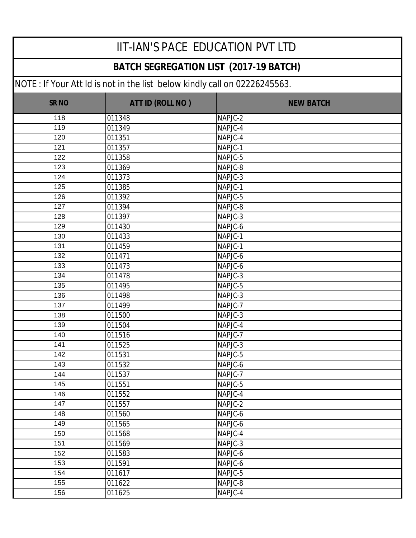#### **BATCH SEGREGATION LIST (2017-19 BATCH)**

| <b>SR NO</b> | ATT ID (ROLL NO) | <b>NEW BATCH</b> |
|--------------|------------------|------------------|
| 118          | 011348           | NAPJC-2          |
| 119          | 011349           | NAPJC-4          |
| 120          | 011351           | NAPJC-4          |
| 121          | 011357           | NAPJC-1          |
| 122          | 011358           | NAPJC-5          |
| 123          | 011369           | NAPJC-8          |
| 124          | 011373           | NAPJC-3          |
| 125          | 011385           | NAPJC-1          |
| 126          | 011392           | NAPJC-5          |
| 127          | 011394           | NAPJC-8          |
| 128          | 011397           | NAPJC-3          |
| 129          | 011430           | NAPJC-6          |
| 130          | 011433           | NAPJC-1          |
| 131          | 011459           | NAPJC-1          |
| 132          | 011471           | NAPJC-6          |
| 133          | 011473           | NAPJC-6          |
| 134          | 011478           | NAPJC-3          |
| 135          | 011495           | NAPJC-5          |
| 136          | 011498           | NAPJC-3          |
| 137          | 011499           | NAPJC-7          |
| 138          | 011500           | NAPJC-3          |
| 139          | 011504           | NAPJC-4          |
| 140          | 011516           | NAPJC-7          |
| 141          | 011525           | NAPJC-3          |
| 142          | 011531           | NAPJC-5          |
| 143          | 011532           | NAPJC-6          |
| 144          | 011537           | NAPJC-7          |
| 145          | 011551           | NAPJC-5          |
| 146          | 011552           | NAPJC-4          |
| 147          | 011557           | NAPJC-2          |
| 148          | 011560           | NAPJC-6          |
| 149          | 011565           | NAPJC-6          |
| 150          | 011568           | NAPJC-4          |
| 151          | 011569           | NAPJC-3          |
| 152          | 011583           | NAPJC-6          |
| 153          | 011591           | NAPJC-6          |
| 154          | 011617           | NAPJC-5          |
| 155          | 011622           | NAPJC-8          |
| 156          | 011625           | NAPJC-4          |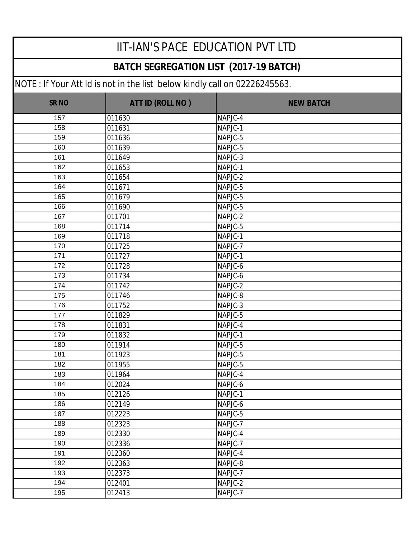#### **BATCH SEGREGATION LIST (2017-19 BATCH)**

| <b>SR NO</b> | ATT ID (ROLL NO) | <b>NEW BATCH</b> |
|--------------|------------------|------------------|
| 157          | 011630           | NAPJC-4          |
| 158          | 011631           | NAPJC-1          |
| 159          | 011636           | NAPJC-5          |
| 160          | 011639           | NAPJC-5          |
| 161          | 011649           | NAPJC-3          |
| 162          | 011653           | NAPJC-1          |
| 163          | 011654           | $NAPJC-2$        |
| 164          | 011671           | NAPJC-5          |
| 165          | 011679           | NAPJC-5          |
| 166          | 011690           | NAPJC-5          |
| 167          | 011701           | NAPJC-2          |
| 168          | 011714           | NAPJC-5          |
| 169          | 011718           | NAPJC-1          |
| 170          | 011725           | NAPJC-7          |
| 171          | 011727           | NAPJC-1          |
| 172          | 011728           | NAPJC-6          |
| 173          | 011734           | NAPJC-6          |
| 174          | 011742           | NAPJC-2          |
| 175          | 011746           | NAPJC-8          |
| 176          | 011752           | NAPJC-3          |
| 177          | 011829           | NAPJC-5          |
| 178          | 011831           | NAPJC-4          |
| 179          | 011832           | NAPJC-1          |
| 180          | 011914           | NAPJC-5          |
| 181          | 011923           | NAPJC-5          |
| 182          | 011955           | NAPJC-5          |
| 183          | 011964           | NAPJC-4          |
| 184          | 012024           | NAPJC-6          |
| 185          | 012126           | NAPJC-1          |
| 186          | 012149           | NAPJC-6          |
| 187          | 012223           | NAPJC-5          |
| 188          | 012323           | NAPJC-7          |
| 189          | 012330           | NAPJC-4          |
| 190          | 012336           | NAPJC-7          |
| 191          | 012360           | NAPJC-4          |
| 192          | 012363           | NAPJC-8          |
| 193          | 012373           | NAPJC-7          |
| 194          | 012401           | NAPJC-2          |
| 195          | 012413           | NAPJC-7          |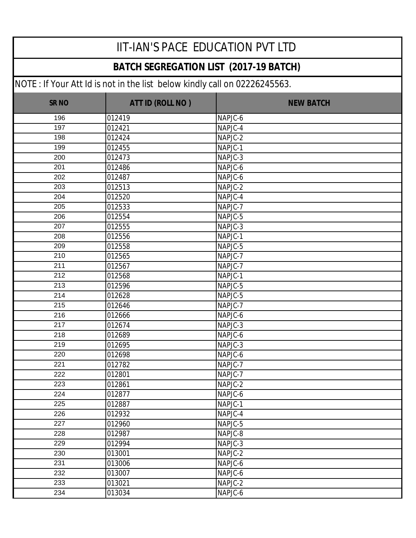#### **BATCH SEGREGATION LIST (2017-19 BATCH)**

| <b>SR NO</b> | ATT ID (ROLL NO) | <b>NEW BATCH</b> |
|--------------|------------------|------------------|
| 196          | 012419           | NAPJC-6          |
| 197          | 012421           | NAPJC-4          |
| 198          | 012424           | NAPJC-2          |
| 199          | 012455           | NAPJC-1          |
| 200          | 012473           | NAPJC-3          |
| 201          | 012486           | NAPJC-6          |
| 202          | 012487           | NAPJC-6          |
| 203          | 012513           | NAPJC-2          |
| 204          | 012520           | NAPJC-4          |
| 205          | 012533           | NAPJC-7          |
| 206          | 012554           | NAPJC-5          |
| 207          | 012555           | NAPJC-3          |
| 208          | 012556           | NAPJC-1          |
| 209          | 012558           | NAPJC-5          |
| 210          | 012565           | NAPJC-7          |
| 211          | 012567           | NAPJC-7          |
| 212          | 012568           | NAPJC-1          |
| 213          | 012596           | NAPJC-5          |
| 214          | 012628           | NAPJC-5          |
| 215          | 012646           | NAPJC-7          |
| 216          | 012666           | NAPJC-6          |
| 217          | 012674           | NAPJC-3          |
| 218          | 012689           | NAPJC-6          |
| 219          | 012695           | NAPJC-3          |
| 220          | 012698           | NAPJC-6          |
| 221          | 012782           | NAPJC-7          |
| 222          | 012801           | NAPJC-7          |
| 223          | 012861           | NAPJC-2          |
| 224          | 012877           | NAPJC-6          |
| 225          | 012887           | NAPJC-1          |
| 226          | 012932           | NAPJC-4          |
| 227          | 012960           | NAPJC-5          |
| 228          | 012987           | NAPJC-8          |
| 229          | 012994           | NAPJC-3          |
| 230          | 013001           | NAPJC-2          |
| 231          | 013006           | NAPJC-6          |
| 232          | 013007           | NAPJC-6          |
| 233          | 013021           | NAPJC-2          |
| 234          | 013034           | NAPJC-6          |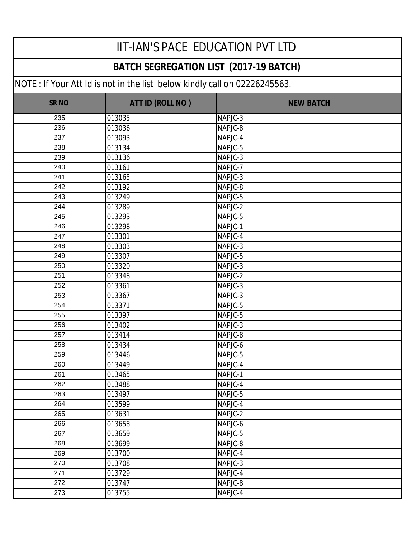#### **BATCH SEGREGATION LIST (2017-19 BATCH)**

| <b>SR NO</b> | ATT ID (ROLL NO) | <b>NEW BATCH</b> |
|--------------|------------------|------------------|
| 235          | 013035           | NAPJC-3          |
| 236          | 013036           | NAPJC-8          |
| 237          | 013093           | NAPJC-4          |
| 238          | 013134           | NAPJC-5          |
| 239          | 013136           | NAPJC-3          |
| 240          | 013161           | NAPJC-7          |
| 241          | 013165           | NAPJC-3          |
| 242          | 013192           | NAPJC-8          |
| 243          | 013249           | NAPJC-5          |
| 244          | 013289           | NAPJC-2          |
| 245          | 013293           | NAPJC-5          |
| 246          | 013298           | NAPJC-1          |
| 247          | 013301           | NAPJC-4          |
| 248          | 013303           | NAPJC-3          |
| 249          | 013307           | NAPJC-5          |
| 250          | 013320           | NAPJC-3          |
| 251          | 013348           | NAPJC-2          |
| 252          | 013361           | NAPJC-3          |
| 253          | 013367           | NAPJC-3          |
| 254          | 013371           | NAPJC-5          |
| 255          | 013397           | NAPJC-5          |
| 256          | 013402           | NAPJC-3          |
| 257          | 013414           | NAPJC-8          |
| 258          | 013434           | NAPJC-6          |
| 259          | 013446           | NAPJC-5          |
| 260          | 013449           | NAPJC-4          |
| 261          | 013465           | NAPJC-1          |
| 262          | 013488           | NAPJC-4          |
| 263          | 013497           | NAPJC-5          |
| 264          | 013599           | NAPJC-4          |
| 265          | 013631           | NAPJC-2          |
| 266          | 013658           | NAPJC-6          |
| 267          | 013659           | NAPJC-5          |
| 268          | 013699           | NAPJC-8          |
| 269          | 013700           | NAPJC-4          |
| 270          | 013708           | NAPJC-3          |
| 271          | 013729           | NAPJC-4          |
| 272          | 013747           | NAPJC-8          |
| 273          | 013755           | NAPJC-4          |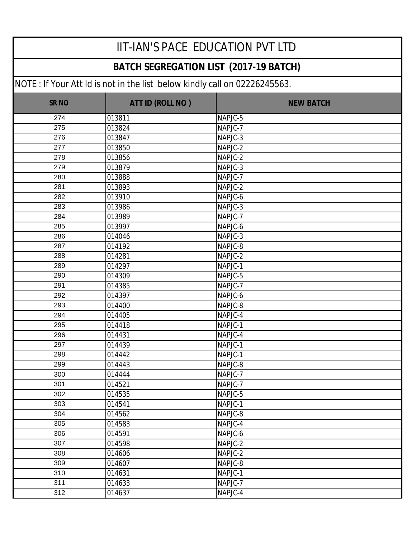#### **BATCH SEGREGATION LIST (2017-19 BATCH)**

| <b>SR NO</b> | ATT ID (ROLL NO) | <b>NEW BATCH</b> |
|--------------|------------------|------------------|
| 274          | 013811           | NAPJC-5          |
| 275          | 013824           | NAPJC-7          |
| 276          | 013847           | NAPJC-3          |
| 277          | 013850           | NAPJC-2          |
| 278          | 013856           | NAPJC-2          |
| 279          | 013879           | NAPJC-3          |
| 280          | 013888           | NAPJC-7          |
| 281          | 013893           | NAPJC-2          |
| 282          | 013910           | NAPJC-6          |
| 283          | 013986           | NAPJC-3          |
| 284          | 013989           | NAPJC-7          |
| 285          | 013997           | NAPJC-6          |
| 286          | 014046           | NAPJC-3          |
| 287          | 014192           | NAPJC-8          |
| 288          | 014281           | NAPJC-2          |
| 289          | 014297           | NAPJC-1          |
| 290          | 014309           | NAPJC-5          |
| 291          | 014385           | NAPJC-7          |
| 292          | 014397           | NAPJC-6          |
| 293          | 014400           | NAPJC-8          |
| 294          | 014405           | NAPJC-4          |
| 295          | 014418           | NAPJC-1          |
| 296          | 014431           | NAPJC-4          |
| 297          | 014439           | NAPJC-1          |
| 298          | 014442           | NAPJC-1          |
| 299          | 014443           | NAPJC-8          |
| 300          | 014444           | NAPJC-7          |
| 301          | 014521           | NAPJC-7          |
| 302          | 014535           | NAPJC-5          |
| 303          | 014541           | NAPJC-1          |
| 304          | 014562           | NAPJC-8          |
| 305          | 014583           | NAPJC-4          |
| 306          | 014591           | NAPJC-6          |
| 307          | 014598           | NAPJC-2          |
| 308          | 014606           | NAPJC-2          |
| 309          | 014607           | NAPJC-8          |
| 310          | 014631           | NAPJC-1          |
| 311          | 014633           | NAPJC-7          |
| 312          | 014637           | NAPJC-4          |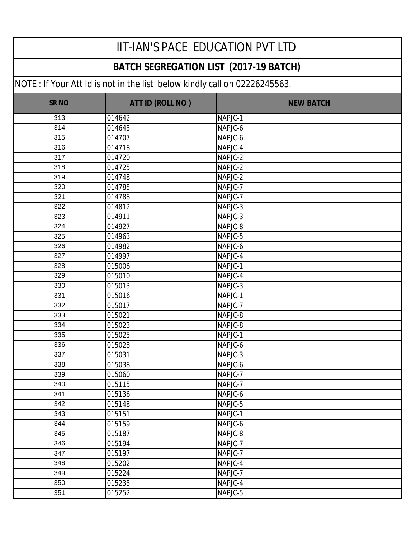#### **BATCH SEGREGATION LIST (2017-19 BATCH)**

| <b>SR NO</b> | ATT ID (ROLL NO) | <b>NEW BATCH</b> |
|--------------|------------------|------------------|
| 313          | 014642           | NAPJC-1          |
| 314          | 014643           | NAPJC-6          |
| 315          | 014707           | NAPJC-6          |
| 316          | 014718           | NAPJC-4          |
| 317          | 014720           | NAPJC-2          |
| 318          | 014725           | NAPJC-2          |
| 319          | 014748           | NAPJC-2          |
| 320          | 014785           | NAPJC-7          |
| 321          | 014788           | NAPJC-7          |
| 322          | 014812           | NAPJC-3          |
| 323          | 014911           | NAPJC-3          |
| 324          | 014927           | NAPJC-8          |
| 325          | 014963           | NAPJC-5          |
| 326          | 014982           | NAPJC-6          |
| 327          | 014997           | NAPJC-4          |
| 328          | 015006           | NAPJC-1          |
| 329          | 015010           | NAPJC-4          |
| 330          | 015013           | NAPJC-3          |
| 331          | 015016           | NAPJC-1          |
| 332          | 015017           | NAPJC-7          |
| 333          | 015021           | NAPJC-8          |
| 334          | 015023           | NAPJC-8          |
| 335          | 015025           | NAPJC-1          |
| 336          | 015028           | NAPJC-6          |
| 337          | 015031           | NAPJC-3          |
| 338          | 015038           | NAPJC-6          |
| 339          | 015060           | NAPJC-7          |
| 340          | 015115           | NAPJC-7          |
| 341          | 015136           | NAPJC-6          |
| 342          | 015148           | NAPJC-5          |
| 343          | 015151           | NAPJC-1          |
| 344          | 015159           | NAPJC-6          |
| 345          | 015187           | NAPJC-8          |
| 346          | 015194           | NAPJC-7          |
| 347          | 015197           | NAPJC-7          |
| 348          | 015202           | NAPJC-4          |
| 349          | 015224           | NAPJC-7          |
| 350          | 015235           | NAPJC-4          |
| 351          | 015252           | NAPJC-5          |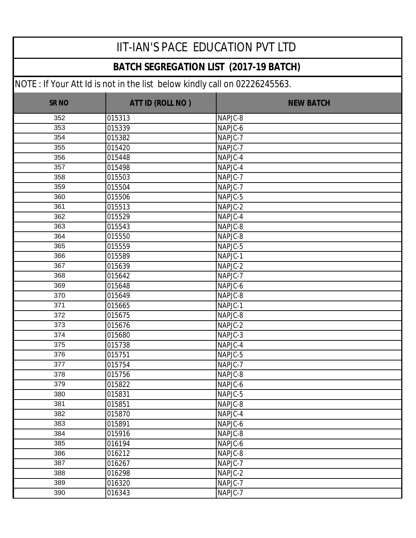#### **BATCH SEGREGATION LIST (2017-19 BATCH)**

| <b>SR NO</b> | ATT ID (ROLL NO) | <b>NEW BATCH</b> |
|--------------|------------------|------------------|
| 352          | 015313           | NAPJC-8          |
| 353          | 015339           | NAPJC-6          |
| 354          | 015382           | NAPJC-7          |
| 355          | 015420           | NAPJC-7          |
| 356          | 015448           | NAPJC-4          |
| 357          | 015498           | NAPJC-4          |
| 358          | 015503           | NAPJC-7          |
| 359          | 015504           | NAPJC-7          |
| 360          | 015506           | NAPJC-5          |
| 361          | 015513           | NAPJC-2          |
| 362          | 015529           | NAPJC-4          |
| 363          | 015543           | NAPJC-8          |
| 364          | 015550           | NAPJC-8          |
| 365          | 015559           | NAPJC-5          |
| 366          | 015589           | NAPJC-1          |
| 367          | 015639           | NAPJC-2          |
| 368          | 015642           | NAPJC-7          |
| 369          | 015648           | NAPJC-6          |
| 370          | 015649           | NAPJC-8          |
| 371          | 015665           | NAPJC-1          |
| 372          | 015675           | NAPJC-8          |
| 373          | 015676           | NAPJC-2          |
| 374          | 015680           | NAPJC-3          |
| 375          | 015738           | NAPJC-4          |
| 376          | 015751           | NAPJC-5          |
| 377          | 015754           | NAPJC-7          |
| 378          | 015756           | NAPJC-8          |
| 379          | 015822           | NAPJC-6          |
| 380          | 015831           | NAPJC-5          |
| 381          | 015851           | NAPJC-8          |
| 382          | 015870           | NAPJC-4          |
| 383          | 015891           | NAPJC-6          |
| 384          | 015916           | NAPJC-8          |
| 385          | 016194           | NAPJC-6          |
| 386          | 016212           | NAPJC-8          |
| 387          | 016267           | NAPJC-7          |
| 388          | 016298           | NAPJC-2          |
| 389          | 016320           | NAPJC-7          |
| 390          | 016343           | NAPJC-7          |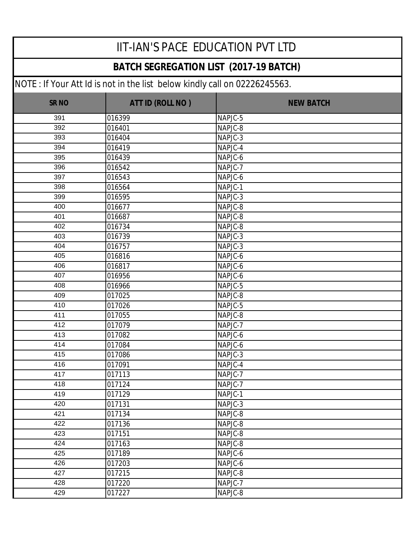#### **BATCH SEGREGATION LIST (2017-19 BATCH)**

| <b>SR NO</b> | ATT ID (ROLL NO) | <b>NEW BATCH</b> |
|--------------|------------------|------------------|
| 391          | 016399           | NAPJC-5          |
| 392          | 016401           | NAPJC-8          |
| 393          | 016404           | NAPJC-3          |
| 394          | 016419           | NAPJC-4          |
| 395          | 016439           | NAPJC-6          |
| 396          | 016542           | NAPJC-7          |
| 397          | 016543           | NAPJC-6          |
| 398          | 016564           | NAPJC-1          |
| 399          | 016595           | NAPJC-3          |
| 400          | 016677           | NAPJC-8          |
| 401          | 016687           | NAPJC-8          |
| 402          | 016734           | NAPJC-8          |
| 403          | 016739           | NAPJC-3          |
| 404          | 016757           | NAPJC-3          |
| 405          | 016816           | NAPJC-6          |
| 406          | 016817           | NAPJC-6          |
| 407          | 016956           | NAPJC-6          |
| 408          | 016966           | NAPJC-5          |
| 409          | 017025           | NAPJC-8          |
| 410          | 017026           | NAPJC-5          |
| 411          | 017055           | NAPJC-8          |
| 412          | 017079           | NAPJC-7          |
| 413          | 017082           | NAPJC-6          |
| 414          | 017084           | NAPJC-6          |
| 415          | 017086           | NAPJC-3          |
| 416          | 017091           | NAPJC-4          |
| 417          | 017113           | NAPJC-7          |
| 418          | 017124           | NAPJC-7          |
| 419          | 017129           | NAPJC-1          |
| 420          | 017131           | NAPJC-3          |
| 421          | 017134           | NAPJC-8          |
| 422          | 017136           | NAPJC-8          |
| 423          | 017151           | NAPJC-8          |
| 424          | 017163           | NAPJC-8          |
| 425          | 017189           | NAPJC-6          |
| 426          | 017203           | NAPJC-6          |
| 427          | 017215           | NAPJC-8          |
| 428          | 017220           | NAPJC-7          |
| 429          | 017227           | NAPJC-8          |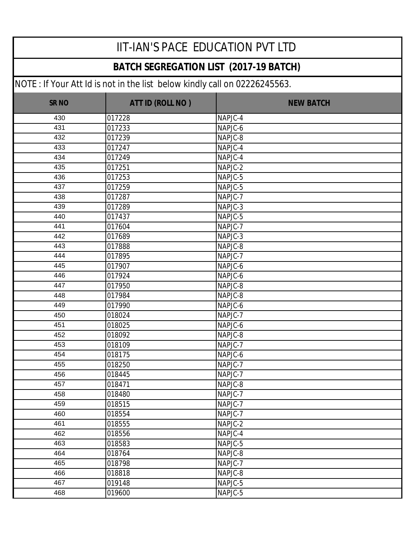#### **BATCH SEGREGATION LIST (2017-19 BATCH)**

| <b>SR NO</b> | ATT ID (ROLL NO) | <b>NEW BATCH</b> |
|--------------|------------------|------------------|
| 430          | 017228           | NAPJC-4          |
| 431          | 017233           | NAPJC-6          |
| 432          | 017239           | NAPJC-8          |
| 433          | 017247           | NAPJC-4          |
| 434          | 017249           | NAPJC-4          |
| 435          | 017251           | NAPJC-2          |
| 436          | 017253           | NAPJC-5          |
| 437          | 017259           | NAPJC-5          |
| 438          | 017287           | NAPJC-7          |
| 439          | 017289           | NAPJC-3          |
| 440          | 017437           | NAPJC-5          |
| 441          | 017604           | NAPJC-7          |
| 442          | 017689           | NAPJC-3          |
| 443          | 017888           | NAPJC-8          |
| 444          | 017895           | NAPJC-7          |
| 445          | 017907           | NAPJC-6          |
| 446          | 017924           | NAPJC-6          |
| 447          | 017950           | NAPJC-8          |
| 448          | 017984           | NAPJC-8          |
| 449          | 017990           | NAPJC-6          |
| 450          | 018024           | NAPJC-7          |
| 451          | 018025           | NAPJC-6          |
| 452          | 018092           | NAPJC-8          |
| 453          | 018109           | NAPJC-7          |
| 454          | 018175           | NAPJC-6          |
| 455          | 018250           | NAPJC-7          |
| 456          | 018445           | NAPJC-7          |
| 457          | 018471           | NAPJC-8          |
| 458          | 018480           | NAPJC-7          |
| 459          | 018515           | NAPJC-7          |
| 460          | 018554           | NAPJC-7          |
| 461          | 018555           | NAPJC-2          |
| 462          | 018556           | NAPJC-4          |
| 463          | 018583           | NAPJC-5          |
| 464          | 018764           | NAPJC-8          |
| 465          | 018798           | NAPJC-7          |
| 466          | 018818           | NAPJC-8          |
| 467          | 019148           | NAPJC-5          |
| 468          | 019600           | NAPJC-5          |